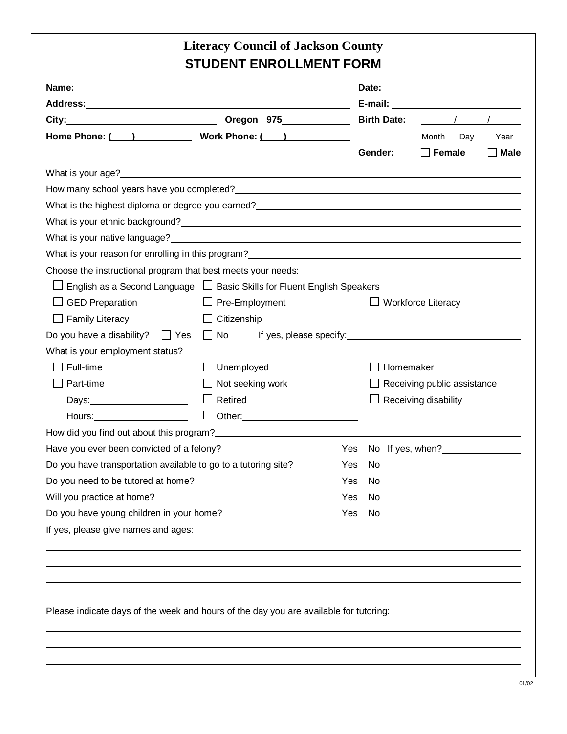|                                                                                                                       |                                          |     | Date:     |                                                                                                                                                                                                                                |             |
|-----------------------------------------------------------------------------------------------------------------------|------------------------------------------|-----|-----------|--------------------------------------------------------------------------------------------------------------------------------------------------------------------------------------------------------------------------------|-------------|
|                                                                                                                       |                                          |     |           |                                                                                                                                                                                                                                |             |
| City: Birth Date:                                                                                                     |                                          |     |           | $\sqrt{1}$                                                                                                                                                                                                                     |             |
| Home Phone: ( ) Work Phone: ( )                                                                                       |                                          |     |           | Month<br>Day                                                                                                                                                                                                                   | Year        |
|                                                                                                                       |                                          |     | Gender:   | $\Box$ Female                                                                                                                                                                                                                  | $\Box$ Male |
|                                                                                                                       |                                          |     |           |                                                                                                                                                                                                                                |             |
| What is your age? <b>Example 2008</b> 2009 2012 2022 2023 2024 2022 2023 2024 2022 2023 2024 2022 2023 2024 2022 2023 |                                          |     |           |                                                                                                                                                                                                                                |             |
|                                                                                                                       |                                          |     |           |                                                                                                                                                                                                                                |             |
|                                                                                                                       |                                          |     |           |                                                                                                                                                                                                                                |             |
|                                                                                                                       |                                          |     |           |                                                                                                                                                                                                                                |             |
|                                                                                                                       |                                          |     |           |                                                                                                                                                                                                                                |             |
| What is your reason for enrolling in this program?<br>What is your reason for enrolling in this program?              |                                          |     |           |                                                                                                                                                                                                                                |             |
| Choose the instructional program that best meets your needs:                                                          |                                          |     |           |                                                                                                                                                                                                                                |             |
| $\Box$ English as a Second Language $\Box$ Basic Skills for Fluent English Speakers                                   |                                          |     |           |                                                                                                                                                                                                                                |             |
| $\Box$ GED Preparation                                                                                                | $\Box$ Pre-Employment                    |     |           | $\Box$ Workforce Literacy                                                                                                                                                                                                      |             |
| $\Box$ Family Literacy                                                                                                | $\Box$ Citizenship                       |     |           |                                                                                                                                                                                                                                |             |
| Do you have a disability? $\Box$ Yes                                                                                  | $\Box$ No                                |     |           | If yes, please specify: The state of the state of the state of the state of the state of the state of the state of the state of the state of the state of the state of the state of the state of the state of the state of the |             |
| What is your employment status?                                                                                       |                                          |     |           |                                                                                                                                                                                                                                |             |
| $\Box$ Full-time                                                                                                      | $\Box$ Unemployed                        |     | Homemaker |                                                                                                                                                                                                                                |             |
| Part-time                                                                                                             | $\Box$ Not seeking work                  |     |           | $\Box$ Receiving public assistance                                                                                                                                                                                             |             |
|                                                                                                                       | $\Box$ Retired                           |     |           | Receiving disability                                                                                                                                                                                                           |             |
| Hours:                                                                                                                | □ Other: ________________________        |     |           |                                                                                                                                                                                                                                |             |
|                                                                                                                       |                                          |     |           |                                                                                                                                                                                                                                |             |
| Have you ever been convicted of a felony? The Contract Contract Contract Contract Contract Contract Contract Co       |                                          |     |           |                                                                                                                                                                                                                                |             |
| Do you have transportation available to go to a tutoring site?                                                        |                                          | Yes | No        |                                                                                                                                                                                                                                |             |
| Do you need to be tutored at home?                                                                                    |                                          | Yes | No        |                                                                                                                                                                                                                                |             |
| Will you practice at home?                                                                                            |                                          | Yes | No        |                                                                                                                                                                                                                                |             |
|                                                                                                                       | Do you have young children in your home? |     | Yes<br>No |                                                                                                                                                                                                                                |             |
|                                                                                                                       |                                          |     |           |                                                                                                                                                                                                                                |             |